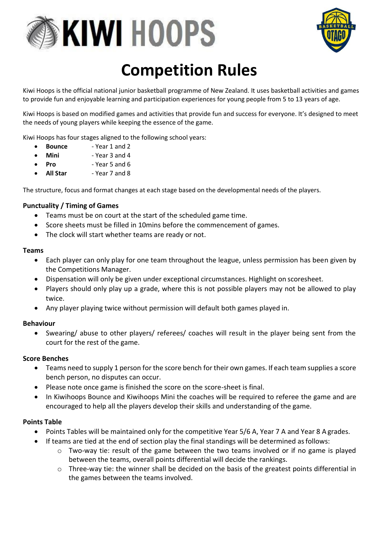



## **Competition Rules**

Kiwi Hoops is the official national junior basketball programme of New Zealand. It uses basketball activities and games to provide fun and enjoyable learning and participation experiences for young people from 5 to 13 years of age.

Kiwi Hoops is based on modified games and activities that provide fun and success for everyone. It's designed to meet the needs of young players while keeping the essence of the game.

Kiwi Hoops has four stages aligned to the following school years:

- **Bounce** Year 1 and 2
- **Mini** Year 3 and 4
- **Pro** Year 5 and 6
- **All Star** Year 7 and 8

The structure, focus and format changes at each stage based on the developmental needs of the players.

### **Punctuality / Timing of Games**

- Teams must be on court at the start of the scheduled game time.
- Score sheets must be filled in 10mins before the commencement of games.
- The clock will start whether teams are ready or not.

### **Teams**

- Each player can only play for one team throughout the league, unless permission has been given by the Competitions Manager.
- Dispensation will only be given under exceptional circumstances. Highlight on scoresheet.
- Players should only play up a grade, where this is not possible players may not be allowed to play twice.
- Any player playing twice without permission will default both games played in.

### **Behaviour**

• Swearing/ abuse to other players/ referees/ coaches will result in the player being sent from the court for the rest of the game.

### **Score Benches**

- Teams need to supply 1 person for the score bench for their own games. If each team supplies a score bench person, no disputes can occur.
- Please note once game is finished the score on the score-sheet is final.
- In Kiwihoops Bounce and Kiwihoops Mini the coaches will be required to referee the game and are encouraged to help all the players develop their skills and understanding of the game.

### **Points Table**

- Points Tables will be maintained only for the competitive Year 5/6 A, Year 7 A and Year 8 A grades.
- If teams are tied at the end of section play the final standings will be determined as follows:
	- $\circ$  Two-way tie: result of the game between the two teams involved or if no game is played between the teams, overall points differential will decide the rankings.
	- $\circ$  Three-way tie: the winner shall be decided on the basis of the greatest points differential in the games between the teams involved.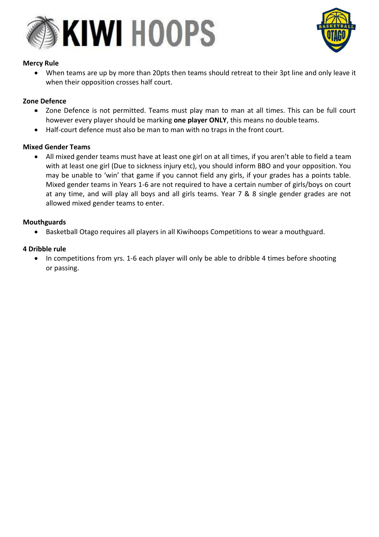



### **Mercy Rule**

• When teams are up by more than 20pts then teams should retreat to their 3pt line and only leave it when their opposition crosses half court.

### **Zone Defence**

- Zone Defence is not permitted. Teams must play man to man at all times. This can be full court however every player should be marking **one player ONLY**, this means no double teams.
- Half-court defence must also be man to man with no traps in the front court.

### **Mixed Gender Teams**

• All mixed gender teams must have at least one girl on at all times, if you aren't able to field a team with at least one girl (Due to sickness injury etc), you should inform BBO and your opposition. You may be unable to 'win' that game if you cannot field any girls, if your grades has a points table. Mixed gender teams in Years 1-6 are not required to have a certain number of girls/boys on court at any time, and will play all boys and all girls teams. Year 7 & 8 single gender grades are not allowed mixed gender teams to enter.

### **Mouthguards**

• Basketball Otago requires all players in all Kiwihoops Competitions to wear a mouthguard.

### **4 Dribble rule**

• In competitions from yrs. 1-6 each player will only be able to dribble 4 times before shooting or passing.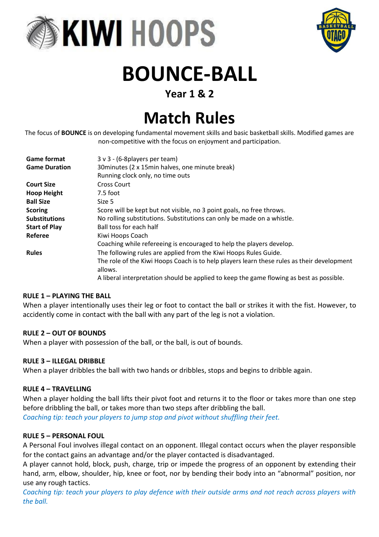



# **BOUNCE-BALL**

### **Year 1 & 2**

## **Match Rules**

The focus of **BOUNCE** is on developing fundamental movement skills and basic basketball skills. Modified games are non-competitive with the focus on enjoyment and participation.

| <b>Game format</b>   | $3 \vee 3 - (6-8$ players per team)                                                        |
|----------------------|--------------------------------------------------------------------------------------------|
| <b>Game Duration</b> | 30 minutes (2 x 15 min halves, one minute break)                                           |
|                      | Running clock only, no time outs                                                           |
| <b>Court Size</b>    | Cross Court                                                                                |
| <b>Hoop Height</b>   | 7.5 foot                                                                                   |
| <b>Ball Size</b>     | Size 5                                                                                     |
| <b>Scoring</b>       | Score will be kept but not visible, no 3 point goals, no free throws.                      |
| <b>Substitutions</b> | No rolling substitutions. Substitutions can only be made on a whistle.                     |
| <b>Start of Play</b> | Ball toss for each half                                                                    |
| Referee              | Kiwi Hoops Coach                                                                           |
|                      | Coaching while refereeing is encouraged to help the players develop.                       |
| <b>Rules</b>         | The following rules are applied from the Kiwi Hoops Rules Guide.                           |
|                      | The role of the Kiwi Hoops Coach is to help players learn these rules as their development |
|                      | allows.                                                                                    |
|                      | A liberal interpretation should be applied to keep the game flowing as best as possible.   |

### **RULE 1 – PLAYING THE BALL**

When a player intentionally uses their leg or foot to contact the ball or strikes it with the fist. However, to accidently come in contact with the ball with any part of the leg is not a violation.

### **RULE 2 – OUT OF BOUNDS**

When a player with possession of the ball, or the ball, is out of bounds.

### **RULE 3 – ILLEGAL DRIBBLE**

When a player dribbles the ball with two hands or dribbles, stops and begins to dribble again.

### **RULE 4 – TRAVELLING**

When a player holding the ball lifts their pivot foot and returns it to the floor or takes more than one step before dribbling the ball, or takes more than two steps after dribbling the ball. *Coaching tip: teach your players to jump stop and pivot without shuffling their feet.*

### **RULE 5 – PERSONAL FOUL**

A Personal Foul involves illegal contact on an opponent. Illegal contact occurs when the player responsible for the contact gains an advantage and/or the player contacted is disadvantaged.

A player cannot hold, block, push, charge, trip or impede the progress of an opponent by extending their hand, arm, elbow, shoulder, hip, knee or foot, nor by bending their body into an "abnormal" position, nor use any rough tactics.

*Coaching tip: teach your players to play defence with their outside arms and not reach across players with the ball.*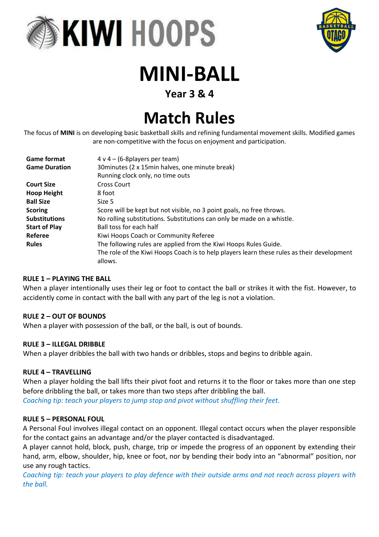



# **MINI-BALL**

### **Year 3 & 4**

## **Match Rules**

The focus of **MINI** is on developing basic basketball skills and refining fundamental movement skills. Modified games are non-competitive with the focus on enjoyment and participation.

| <b>Game format</b>   | $4 \vee 4 - (6-8$ players per team)                                                        |
|----------------------|--------------------------------------------------------------------------------------------|
| <b>Game Duration</b> | 30 minutes (2 x 15 min halves, one minute break)                                           |
|                      | Running clock only, no time outs                                                           |
| <b>Court Size</b>    | <b>Cross Court</b>                                                                         |
| <b>Hoop Height</b>   | 8 foot                                                                                     |
| <b>Ball Size</b>     | Size 5                                                                                     |
| <b>Scoring</b>       | Score will be kept but not visible, no 3 point goals, no free throws.                      |
| <b>Substitutions</b> | No rolling substitutions. Substitutions can only be made on a whistle.                     |
| <b>Start of Play</b> | Ball toss for each half                                                                    |
| Referee              | Kiwi Hoops Coach or Community Referee                                                      |
| <b>Rules</b>         | The following rules are applied from the Kiwi Hoops Rules Guide.                           |
|                      | The role of the Kiwi Hoops Coach is to help players learn these rules as their development |
|                      | allows.                                                                                    |

### **RULE 1 – PLAYING THE BALL**

When a player intentionally uses their leg or foot to contact the ball or strikes it with the fist. However, to accidently come in contact with the ball with any part of the leg is not a violation.

### **RULE 2 – OUT OF BOUNDS**

When a player with possession of the ball, or the ball, is out of bounds.

### **RULE 3 – ILLEGAL DRIBBLE**

When a player dribbles the ball with two hands or dribbles, stops and begins to dribble again.

### **RULE 4 – TRAVELLING**

When a player holding the ball lifts their pivot foot and returns it to the floor or takes more than one step before dribbling the ball, or takes more than two steps after dribbling the ball.

*Coaching tip: teach your players to jump stop and pivot without shuffling their feet.*

### **RULE 5 – PERSONAL FOUL**

A Personal Foul involves illegal contact on an opponent. Illegal contact occurs when the player responsible for the contact gains an advantage and/or the player contacted is disadvantaged.

A player cannot hold, block, push, charge, trip or impede the progress of an opponent by extending their hand, arm, elbow, shoulder, hip, knee or foot, nor by bending their body into an "abnormal" position, nor use any rough tactics.

*Coaching tip: teach your players to play defence with their outside arms and not reach across players with the ball.*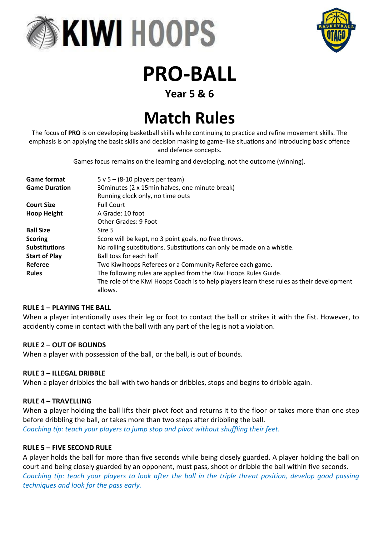



## **PRO-BALL**

### **Year 5 & 6**

## **Match Rules**

The focus of **PRO** is on developing basketball skills while continuing to practice and refine movement skills. The emphasis is on applying the basic skills and decision making to game-like situations and introducing basic offence and defence concepts.

Games focus remains on the learning and developing, not the outcome (winning).

| <b>Game format</b>   | $5 \vee 5 - (8-10$ players per team)                                                       |
|----------------------|--------------------------------------------------------------------------------------------|
| <b>Game Duration</b> | 30 minutes (2 x 15 min halves, one minute break)                                           |
|                      | Running clock only, no time outs                                                           |
| <b>Court Size</b>    | <b>Full Court</b>                                                                          |
| <b>Hoop Height</b>   | A Grade: 10 foot                                                                           |
|                      | Other Grades: 9 Foot                                                                       |
| <b>Ball Size</b>     | Size 5                                                                                     |
| <b>Scoring</b>       | Score will be kept, no 3 point goals, no free throws.                                      |
| <b>Substitutions</b> | No rolling substitutions. Substitutions can only be made on a whistle.                     |
| <b>Start of Play</b> | Ball toss for each half                                                                    |
| Referee              | Two Kiwihoops Referees or a Community Referee each game.                                   |
| <b>Rules</b>         | The following rules are applied from the Kiwi Hoops Rules Guide.                           |
|                      | The role of the Kiwi Hoops Coach is to help players learn these rules as their development |
|                      | allows.                                                                                    |

### **RULE 1 – PLAYING THE BALL**

When a player intentionally uses their leg or foot to contact the ball or strikes it with the fist. However, to accidently come in contact with the ball with any part of the leg is not a violation.

### **RULE 2 – OUT OF BOUNDS**

When a player with possession of the ball, or the ball, is out of bounds.

### **RULE 3 – ILLEGAL DRIBBLE**

When a player dribbles the ball with two hands or dribbles, stops and begins to dribble again.

### **RULE 4 – TRAVELLING**

When a player holding the ball lifts their pivot foot and returns it to the floor or takes more than one step before dribbling the ball, or takes more than two steps after dribbling the ball. *Coaching tip: teach your players to jump stop and pivot without shuffling their feet.*

### **RULE 5 – FIVE SECOND RULE**

A player holds the ball for more than five seconds while being closely guarded. A player holding the ball on court and being closely guarded by an opponent, must pass, shoot or dribble the ball within five seconds. *Coaching tip: teach your players to look after the ball in the triple threat position, develop good passing techniques and look for the pass early.*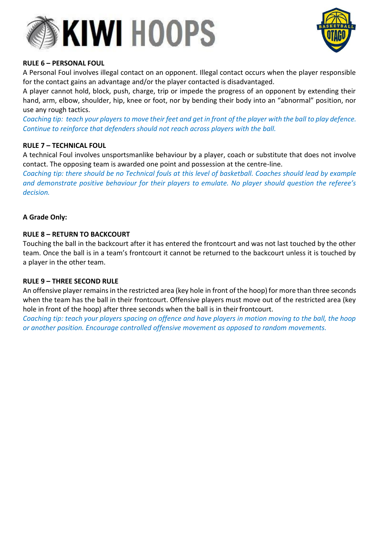



### **RULE 6 – PERSONAL FOUL**

A Personal Foul involves illegal contact on an opponent. Illegal contact occurs when the player responsible for the contact gains an advantage and/or the player contacted is disadvantaged.

A player cannot hold, block, push, charge, trip or impede the progress of an opponent by extending their hand, arm, elbow, shoulder, hip, knee or foot, nor by bending their body into an "abnormal" position, nor use any rough tactics.

Coaching tip: teach your players to move their feet and get in front of the player with the ball to play defence. *Continue to reinforce that defenders should not reach across players with the ball.*

### **RULE 7 – TECHNICAL FOUL**

A technical Foul involves unsportsmanlike behaviour by a player, coach or substitute that does not involve contact. The opposing team is awarded one point and possession at the centre-line.

*Coaching tip: there should be no Technical fouls at this level of basketball. Coaches should lead by example and demonstrate positive behaviour for their players to emulate. No player should question the referee's decision.*

### **A Grade Only:**

### **RULE 8 – RETURN TO BACKCOURT**

Touching the ball in the backcourt after it has entered the frontcourt and was not last touched by the other team. Once the ball is in a team's frontcourt it cannot be returned to the backcourt unless it is touched by a player in the other team.

### **RULE 9 – THREE SECOND RULE**

An offensive player remains in the restricted area (key hole in front of the hoop) for more than three seconds when the team has the ball in their frontcourt. Offensive players must move out of the restricted area (key hole in front of the hoop) after three seconds when the ball is in their frontcourt.

*Coaching tip: teach your players spacing on offence and have players in motion moving to the ball, the hoop or another position. Encourage controlled offensive movement as opposed to random movements.*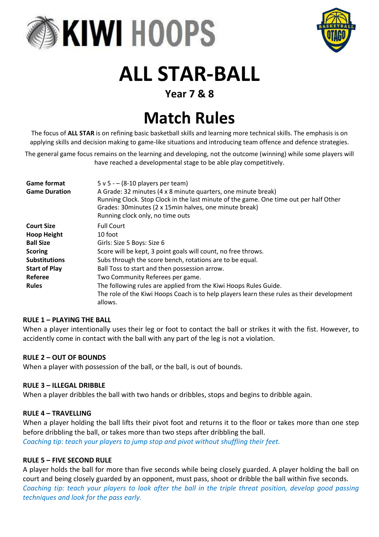



# **ALL STAR-BALL**

### **Year 7 & 8**

## **Match Rules**

The focus of **ALL STAR** is on refining basic basketball skills and learning more technical skills. The emphasis is on applying skills and decision making to game-like situations and introducing team offence and defence strategies.

The general game focus remains on the learning and developing, not the outcome (winning) while some players will have reached a developmental stage to be able play competitively.

| <b>Game format</b><br><b>Game Duration</b> | $5 v 5 - (8-10$ players per team)<br>A Grade: 32 minutes (4 x 8 minute quarters, one minute break)<br>Running Clock. Stop Clock in the last minute of the game. One time out per half Other<br>Grades: 30 minutes (2 x 15 min halves, one minute break)<br>Running clock only, no time outs |
|--------------------------------------------|---------------------------------------------------------------------------------------------------------------------------------------------------------------------------------------------------------------------------------------------------------------------------------------------|
| <b>Court Size</b>                          | <b>Full Court</b>                                                                                                                                                                                                                                                                           |
| <b>Hoop Height</b>                         | 10 foot                                                                                                                                                                                                                                                                                     |
| <b>Ball Size</b>                           | Girls: Size 5 Boys: Size 6                                                                                                                                                                                                                                                                  |
| <b>Scoring</b>                             | Score will be kept, 3 point goals will count, no free throws.                                                                                                                                                                                                                               |
| <b>Substitutions</b>                       | Subs through the score bench, rotations are to be equal.                                                                                                                                                                                                                                    |
| <b>Start of Play</b>                       | Ball Toss to start and then possession arrow.                                                                                                                                                                                                                                               |
| Referee                                    | Two Community Referees per game.                                                                                                                                                                                                                                                            |
| <b>Rules</b>                               | The following rules are applied from the Kiwi Hoops Rules Guide.                                                                                                                                                                                                                            |
|                                            | The role of the Kiwi Hoops Coach is to help players learn these rules as their development<br>allows.                                                                                                                                                                                       |

### **RULE 1 – PLAYING THE BALL**

When a player intentionally uses their leg or foot to contact the ball or strikes it with the fist. However, to accidently come in contact with the ball with any part of the leg is not a violation.

### **RULE 2 – OUT OF BOUNDS**

When a player with possession of the ball, or the ball, is out of bounds.

### **RULE 3 – ILLEGAL DRIBBLE**

When a player dribbles the ball with two hands or dribbles, stops and begins to dribble again.

### **RULE 4 – TRAVELLING**

When a player holding the ball lifts their pivot foot and returns it to the floor or takes more than one step before dribbling the ball, or takes more than two steps after dribbling the ball. *Coaching tip: teach your players to jump stop and pivot without shuffling their feet.*

### **RULE 5 – FIVE SECOND RULE**

A player holds the ball for more than five seconds while being closely guarded. A player holding the ball on court and being closely guarded by an opponent, must pass, shoot or dribble the ball within five seconds. *Coaching tip: teach your players to look after the ball in the triple threat position, develop good passing techniques and look for the pass early.*